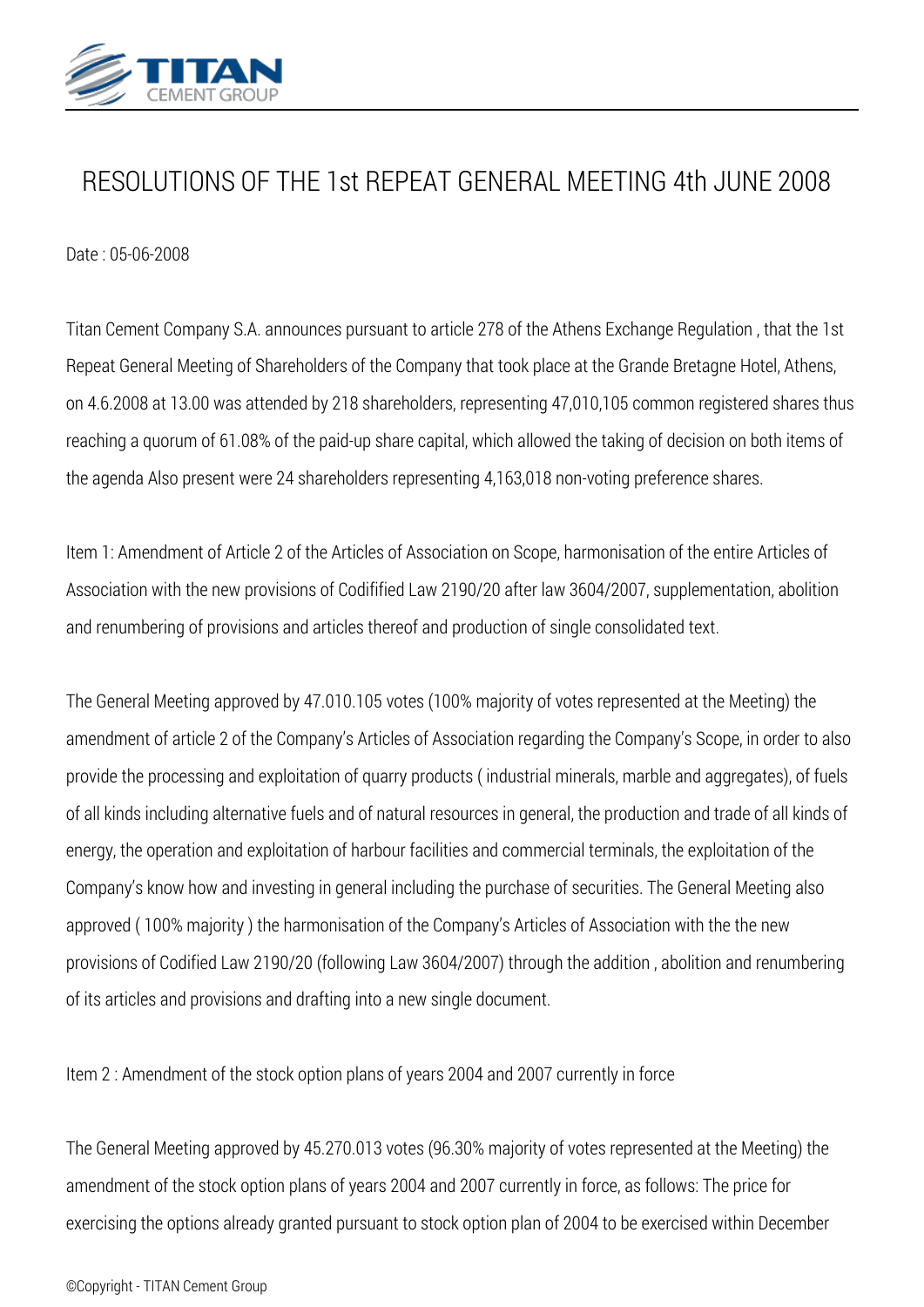

## *RESOLUTIONS OF THE 1st REPEAT GENERAL MEETING 4th JUNE 2008*

*Date : 05-06-2008*

*Titan Cement Company S.A. announces pursuant to article 278 of the Athens Exchange Regulation , that the 1st Repeat General Meeting of Shareholders of the Company that took place at the Grande Bretagne Hotel, Athens, on 4.6.2008 at 13.00 was attended by 218 shareholders, representing 47,010,105 common registered shares thus reaching a quorum of 61.08% of the paid-up share capital, which allowed the taking of decision on both items of the agenda Also present were 24 shareholders representing 4,163,018 non-voting preference shares.*

*Item 1: Amendment of Article 2 of the Articles of Association on Scope, harmonisation of the entire Articles of Association with the new provisions of Codifified Law 2190/20 after law 3604/2007, supplementation, abolition and renumbering of provisions and articles thereof and production of single consolidated text.*

*The General Meeting approved by 47.010.105 votes (100% majority of votes represented at the Meeting) the amendment of article 2 of the Company's Articles of Association regarding the Company's Scope, in order to also provide the processing and exploitation of quarry products ( industrial minerals, marble and aggregates), of fuels of all kinds including alternative fuels and of natural resources in general, the production and trade of all kinds of energy, the operation and exploitation of harbour facilities and commercial terminals, the exploitation of the Company's know how and investing in general including the purchase of securities. The General Meeting also approved ( 100% majority ) the harmonisation of the Company's Articles of Association with the the new provisions of Codified Law 2190/20 (following Law 3604/2007) through the addition , abolition and renumbering of its articles and provisions and drafting into a new single document.*

*Item 2 : Amendment of the stock option plans of years 2004 and 2007 currently in force*

*The General Meeting approved by 45.270.013 votes (96.30% majority of votes represented at the Meeting) the amendment of the stock option plans of years 2004 and 2007 currently in force, as follows: The price for exercising the options already granted pursuant to stock option plan of 2004 to be exercised within December*